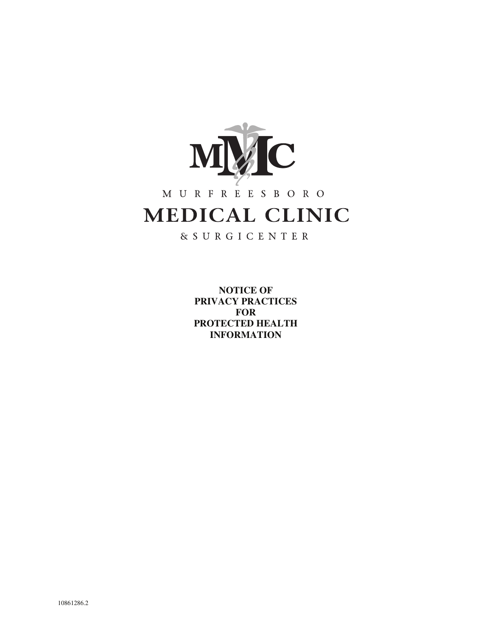

# M U R F R E E S B O R O MEDICAL CLINIC

& S U R G I C E N T E R

**NOTICE OF PRIVACY PRACTICES FOR PROTECTED HEALTH INFORMATION**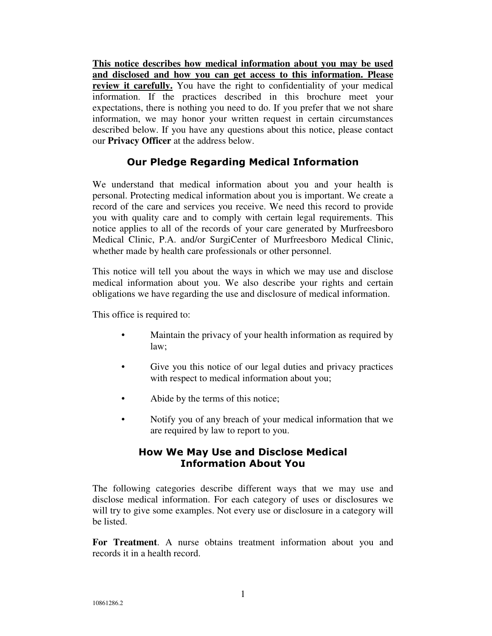**This notice describes how medical information about you may be used and disclosed and how you can get access to this information. Please review it carefully.** You have the right to confidentiality of your medical information. If the practices described in this brochure meet your expectations, there is nothing you need to do. If you prefer that we not share information, we may honor your written request in certain circumstances described below. If you have any questions about this notice, please contact our **Privacy Officer** at the address below.

## Our Pledge Regarding Medical Information

We understand that medical information about you and your health is personal. Protecting medical information about you is important. We create a record of the care and services you receive. We need this record to provide you with quality care and to comply with certain legal requirements. This notice applies to all of the records of your care generated by Murfreesboro Medical Clinic, P.A. and/or SurgiCenter of Murfreesboro Medical Clinic, whether made by health care professionals or other personnel.

This notice will tell you about the ways in which we may use and disclose medical information about you. We also describe your rights and certain obligations we have regarding the use and disclosure of medical information.

This office is required to:

- Maintain the privacy of your health information as required by law;
- Give you this notice of our legal duties and privacy practices with respect to medical information about you;
- Abide by the terms of this notice;
- Notify you of any breach of your medical information that we are required by law to report to you.

## How We May Use and Disclose Medical Information About You

The following categories describe different ways that we may use and disclose medical information. For each category of uses or disclosures we will try to give some examples. Not every use or disclosure in a category will be listed.

**For Treatment**. A nurse obtains treatment information about you and records it in a health record.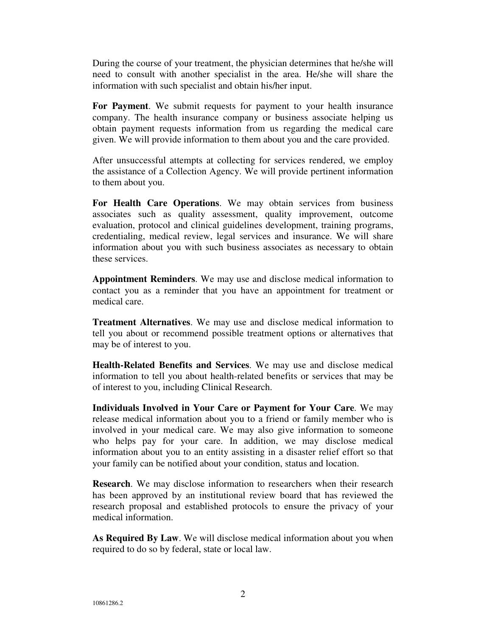During the course of your treatment, the physician determines that he/she will need to consult with another specialist in the area. He/she will share the information with such specialist and obtain his/her input.

**For Payment**. We submit requests for payment to your health insurance company. The health insurance company or business associate helping us obtain payment requests information from us regarding the medical care given. We will provide information to them about you and the care provided.

After unsuccessful attempts at collecting for services rendered, we employ the assistance of a Collection Agency. We will provide pertinent information to them about you.

**For Health Care Operations**. We may obtain services from business associates such as quality assessment, quality improvement, outcome evaluation, protocol and clinical guidelines development, training programs, credentialing, medical review, legal services and insurance. We will share information about you with such business associates as necessary to obtain these services.

**Appointment Reminders**. We may use and disclose medical information to contact you as a reminder that you have an appointment for treatment or medical care.

**Treatment Alternatives**. We may use and disclose medical information to tell you about or recommend possible treatment options or alternatives that may be of interest to you.

**Health-Related Benefits and Services**. We may use and disclose medical information to tell you about health-related benefits or services that may be of interest to you, including Clinical Research.

**Individuals Involved in Your Care or Payment for Your Care**. We may release medical information about you to a friend or family member who is involved in your medical care. We may also give information to someone who helps pay for your care. In addition, we may disclose medical information about you to an entity assisting in a disaster relief effort so that your family can be notified about your condition, status and location.

**Research**. We may disclose information to researchers when their research has been approved by an institutional review board that has reviewed the research proposal and established protocols to ensure the privacy of your medical information.

**As Required By Law**. We will disclose medical information about you when required to do so by federal, state or local law.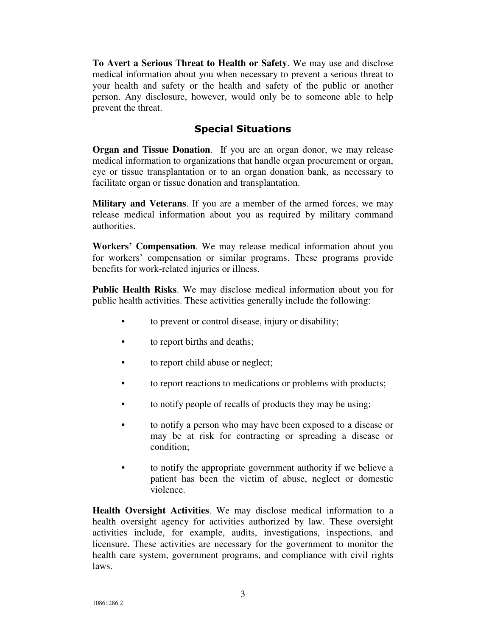**To Avert a Serious Threat to Health or Safety**. We may use and disclose medical information about you when necessary to prevent a serious threat to your health and safety or the health and safety of the public or another person. Any disclosure, however, would only be to someone able to help prevent the threat.

#### Special Situations

**Organ and Tissue Donation**. If you are an organ donor, we may release medical information to organizations that handle organ procurement or organ, eye or tissue transplantation or to an organ donation bank, as necessary to facilitate organ or tissue donation and transplantation.

**Military and Veterans**. If you are a member of the armed forces, we may release medical information about you as required by military command authorities.

**Workers' Compensation**. We may release medical information about you for workers' compensation or similar programs. These programs provide benefits for work-related injuries or illness.

**Public Health Risks**. We may disclose medical information about you for public health activities. These activities generally include the following:

- to prevent or control disease, injury or disability;
- to report births and deaths;
- to report child abuse or neglect;
- to report reactions to medications or problems with products;
- to notify people of recalls of products they may be using;
- to notify a person who may have been exposed to a disease or may be at risk for contracting or spreading a disease or condition;
- to notify the appropriate government authority if we believe a patient has been the victim of abuse, neglect or domestic violence.

**Health Oversight Activities**. We may disclose medical information to a health oversight agency for activities authorized by law. These oversight activities include, for example, audits, investigations, inspections, and licensure. These activities are necessary for the government to monitor the health care system, government programs, and compliance with civil rights laws.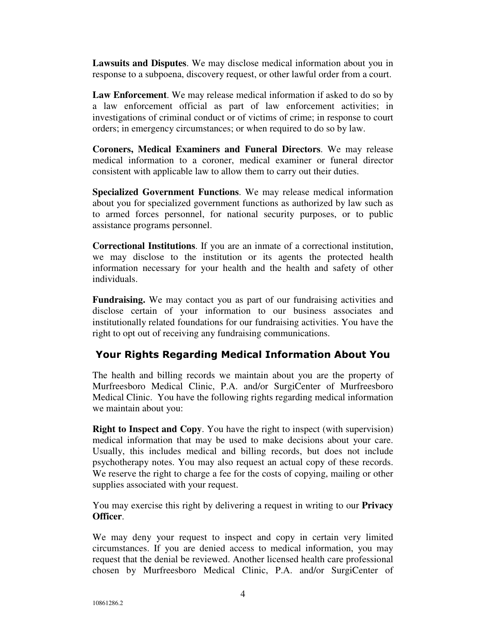**Lawsuits and Disputes**. We may disclose medical information about you in response to a subpoena, discovery request, or other lawful order from a court.

**Law Enforcement**. We may release medical information if asked to do so by a law enforcement official as part of law enforcement activities; in investigations of criminal conduct or of victims of crime; in response to court orders; in emergency circumstances; or when required to do so by law.

**Coroners, Medical Examiners and Funeral Directors**. We may release medical information to a coroner, medical examiner or funeral director consistent with applicable law to allow them to carry out their duties.

**Specialized Government Functions**. We may release medical information about you for specialized government functions as authorized by law such as to armed forces personnel, for national security purposes, or to public assistance programs personnel.

**Correctional Institutions**. If you are an inmate of a correctional institution, we may disclose to the institution or its agents the protected health information necessary for your health and the health and safety of other individuals.

**Fundraising.** We may contact you as part of our fundraising activities and disclose certain of your information to our business associates and institutionally related foundations for our fundraising activities. You have the right to opt out of receiving any fundraising communications.

# Your Rights Regarding Medical Information About You

The health and billing records we maintain about you are the property of Murfreesboro Medical Clinic, P.A. and/or SurgiCenter of Murfreesboro Medical Clinic. You have the following rights regarding medical information we maintain about you:

**Right to Inspect and Copy**. You have the right to inspect (with supervision) medical information that may be used to make decisions about your care. Usually, this includes medical and billing records, but does not include psychotherapy notes. You may also request an actual copy of these records. We reserve the right to charge a fee for the costs of copying, mailing or other supplies associated with your request.

You may exercise this right by delivering a request in writing to our **Privacy Officer**.

We may deny your request to inspect and copy in certain very limited circumstances. If you are denied access to medical information, you may request that the denial be reviewed. Another licensed health care professional chosen by Murfreesboro Medical Clinic, P.A. and/or SurgiCenter of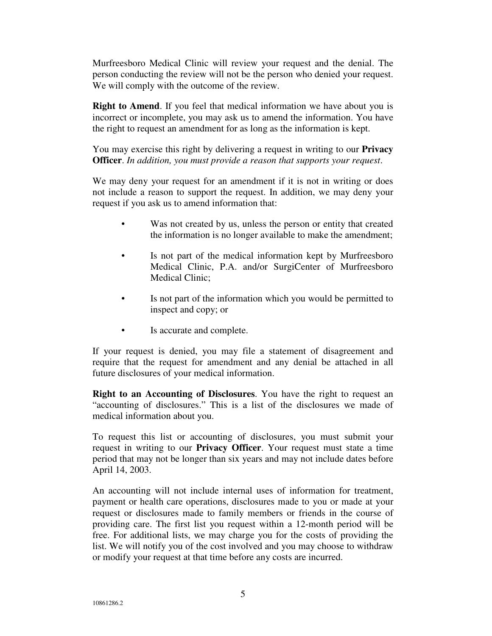Murfreesboro Medical Clinic will review your request and the denial. The person conducting the review will not be the person who denied your request. We will comply with the outcome of the review.

**Right to Amend**. If you feel that medical information we have about you is incorrect or incomplete, you may ask us to amend the information. You have the right to request an amendment for as long as the information is kept.

You may exercise this right by delivering a request in writing to our **Privacy Officer**. *In addition, you must provide a reason that supports your request*.

We may deny your request for an amendment if it is not in writing or does not include a reason to support the request. In addition, we may deny your request if you ask us to amend information that:

- Was not created by us, unless the person or entity that created the information is no longer available to make the amendment;
- Is not part of the medical information kept by Murfreesboro Medical Clinic, P.A. and/or SurgiCenter of Murfreesboro Medical Clinic;
- Is not part of the information which you would be permitted to inspect and copy; or
- Is accurate and complete.

If your request is denied, you may file a statement of disagreement and require that the request for amendment and any denial be attached in all future disclosures of your medical information.

**Right to an Accounting of Disclosures**. You have the right to request an "accounting of disclosures." This is a list of the disclosures we made of medical information about you.

To request this list or accounting of disclosures, you must submit your request in writing to our **Privacy Officer**. Your request must state a time period that may not be longer than six years and may not include dates before April 14, 2003.

An accounting will not include internal uses of information for treatment, payment or health care operations, disclosures made to you or made at your request or disclosures made to family members or friends in the course of providing care. The first list you request within a 12-month period will be free. For additional lists, we may charge you for the costs of providing the list. We will notify you of the cost involved and you may choose to withdraw or modify your request at that time before any costs are incurred.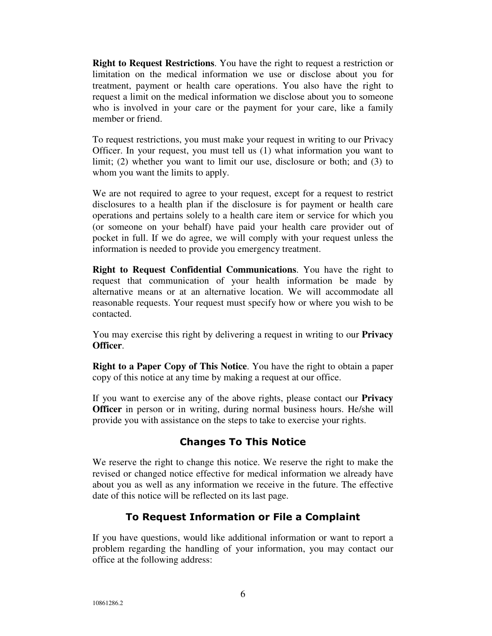**Right to Request Restrictions**. You have the right to request a restriction or limitation on the medical information we use or disclose about you for treatment, payment or health care operations. You also have the right to request a limit on the medical information we disclose about you to someone who is involved in your care or the payment for your care, like a family member or friend.

To request restrictions, you must make your request in writing to our Privacy Officer. In your request, you must tell us (1) what information you want to limit; (2) whether you want to limit our use, disclosure or both; and (3) to whom you want the limits to apply.

We are not required to agree to your request, except for a request to restrict disclosures to a health plan if the disclosure is for payment or health care operations and pertains solely to a health care item or service for which you (or someone on your behalf) have paid your health care provider out of pocket in full. If we do agree, we will comply with your request unless the information is needed to provide you emergency treatment.

**Right to Request Confidential Communications**. You have the right to request that communication of your health information be made by alternative means or at an alternative location. We will accommodate all reasonable requests. Your request must specify how or where you wish to be contacted.

You may exercise this right by delivering a request in writing to our **Privacy Officer**.

**Right to a Paper Copy of This Notice**. You have the right to obtain a paper copy of this notice at any time by making a request at our office.

If you want to exercise any of the above rights, please contact our **Privacy Officer** in person or in writing, during normal business hours. He/she will provide you with assistance on the steps to take to exercise your rights.

## Changes To This Notice

We reserve the right to change this notice. We reserve the right to make the revised or changed notice effective for medical information we already have about you as well as any information we receive in the future. The effective date of this notice will be reflected on its last page.

## To Request Information or File a Complaint

If you have questions, would like additional information or want to report a problem regarding the handling of your information, you may contact our office at the following address: